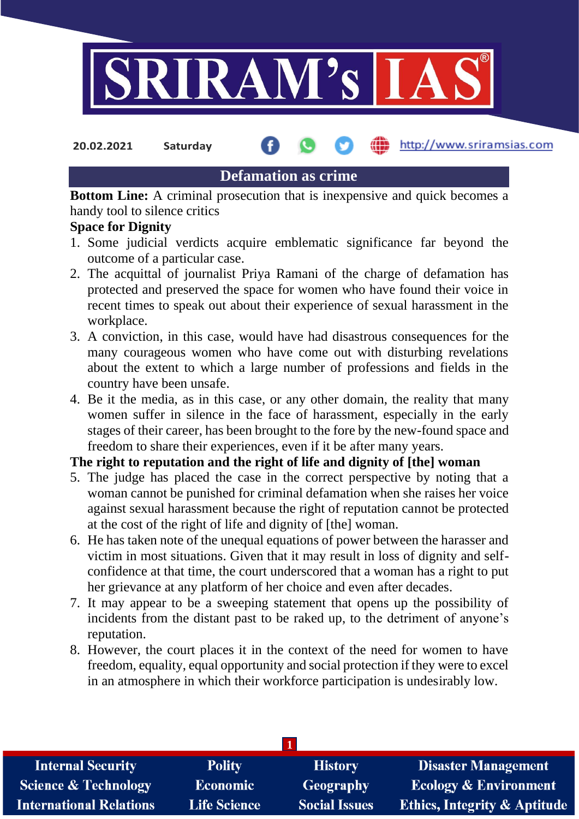

**20.02.2021 Saturday**

http://www.sriramsias.com

## **Defamation as crime**

**Bottom Line:** A criminal prosecution that is inexpensive and quick becomes a handy tool to silence critics

## **Space for Dignity**

- 1. Some judicial verdicts acquire emblematic significance far beyond the outcome of a particular case.
- 2. The acquittal of journalist Priya Ramani of the charge of defamation has protected and preserved the space for women who have found their voice in recent times to speak out about their experience of sexual harassment in the workplace.
- 3. A conviction, in this case, would have had disastrous consequences for the many courageous women who have come out with disturbing revelations about the extent to which a large number of professions and fields in the country have been unsafe.
- 4. Be it the media, as in this case, or any other domain, the reality that many women suffer in silence in the face of harassment, especially in the early stages of their career, has been brought to the fore by the new-found space and freedom to share their experiences, even if it be after many years.

## **The right to reputation and the right of life and dignity of [the] woman**

- 5. The judge has placed the case in the correct perspective by noting that a woman cannot be punished for criminal defamation when she raises her voice against sexual harassment because the right of reputation cannot be protected at the cost of the right of life and dignity of [the] woman.
- 6. He has taken note of the unequal equations of power between the harasser and victim in most situations. Given that it may result in loss of dignity and selfconfidence at that time, the court underscored that a woman has a right to put her grievance at any platform of her choice and even after decades.
- 7. It may appear to be a sweeping statement that opens up the possibility of incidents from the distant past to be raked up, to the detriment of anyone's reputation.
- 8. However, the court places it in the context of the need for women to have freedom, equality, equal opportunity and social protection if they were to excel in an atmosphere in which their workforce participation is undesirably low.

| <b>Internal Security</b>        | <b>Polity</b>       | <b>History</b>       | <b>Disaster Management</b>              |
|---------------------------------|---------------------|----------------------|-----------------------------------------|
| <b>Science &amp; Technology</b> | <b>Economic</b>     | <b>Geography</b>     | <b>Ecology &amp; Environment</b>        |
| <b>International Relations</b>  | <b>Life Science</b> | <b>Social Issues</b> | <b>Ethics, Integrity &amp; Aptitude</b> |